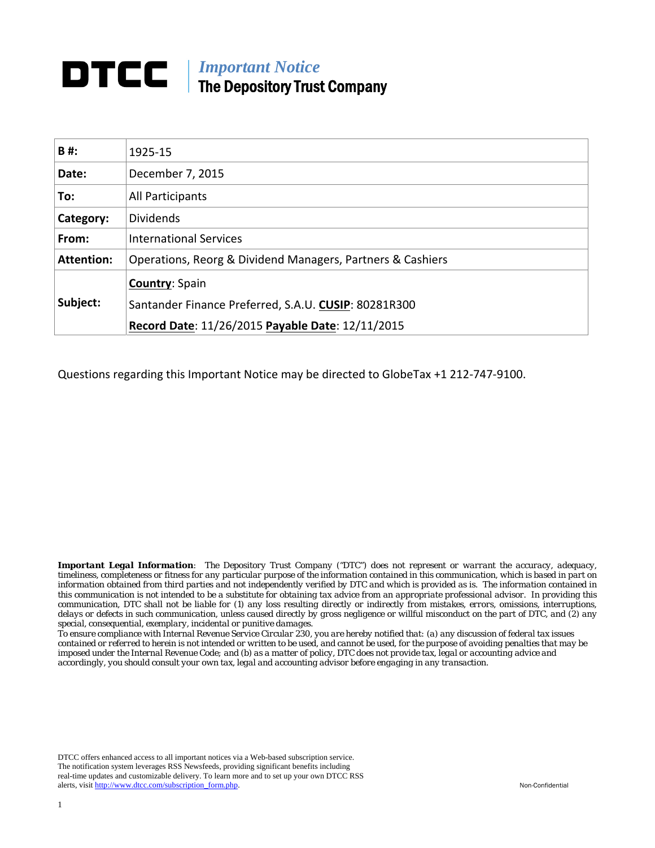## *Important Notice*  The Depository Trust Company

| B#:               | 1925-15                                                    |  |  |
|-------------------|------------------------------------------------------------|--|--|
| Date:             | December 7, 2015                                           |  |  |
| To:               | All Participants                                           |  |  |
| Category:         | <b>Dividends</b>                                           |  |  |
| From:             | <b>International Services</b>                              |  |  |
| <b>Attention:</b> | Operations, Reorg & Dividend Managers, Partners & Cashiers |  |  |
|                   | <b>Country: Spain</b>                                      |  |  |
| Subject:          | Santander Finance Preferred, S.A.U. CUSIP: 80281R300       |  |  |
|                   | Record Date: 11/26/2015 Payable Date: 12/11/2015           |  |  |

Questions regarding this Important Notice may be directed to GlobeTax +1 212‐747‐9100.

*Important Legal Information: The Depository Trust Company ("DTC") does not represent or warrant the accuracy, adequacy, timeliness, completeness or fitness for any particular purpose of the information contained in this communication, which is based in part on information obtained from third parties and not independently verified by DTC and which is provided as is. The information contained in this communication is not intended to be a substitute for obtaining tax advice from an appropriate professional advisor. In providing this communication, DTC shall not be liable for (1) any loss resulting directly or indirectly from mistakes, errors, omissions, interruptions, delays or defects in such communication, unless caused directly by gross negligence or willful misconduct on the part of DTC, and (2) any special, consequential, exemplary, incidental or punitive damages.* 

*To ensure compliance with Internal Revenue Service Circular 230, you are hereby notified that: (a) any discussion of federal tax issues contained or referred to herein is not intended or written to be used, and cannot be used, for the purpose of avoiding penalties that may be imposed under the Internal Revenue Code; and (b) as a matter of policy, DTC does not provide tax, legal or accounting advice and accordingly, you should consult your own tax, legal and accounting advisor before engaging in any transaction.* 

DTCC offers enhanced access to all important notices via a Web-based subscription service. The notification system leverages RSS Newsfeeds, providing significant benefits including real-time updates and customizable delivery. To learn more and to set up your own DTCC RSS alerts, visit http://www.dtcc.com/subscription\_form.php. Non-Confidential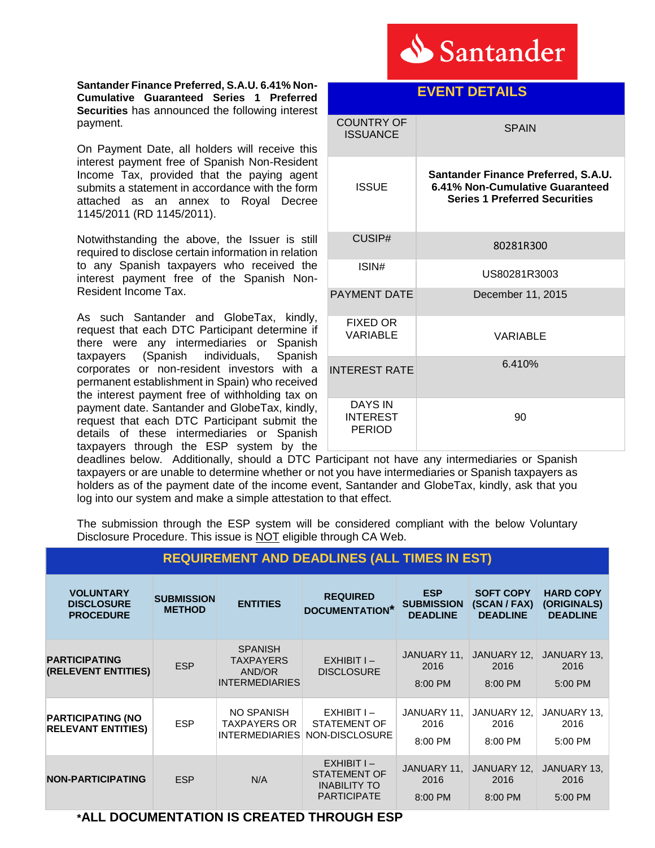

**Santander Finance Preferred, S.A.U. 6.41% Non-Cumulative Guaranteed Series 1 Preferred Securities** has announced the following interest payment.

On Payment Date, all holders will receive this interest payment free of Spanish Non-Resident Income Tax, provided that the paying agent submits a statement in accordance with the form attached as an annex to Royal Decree 1145/2011 (RD 1145/2011).

Notwithstanding the above, the Issuer is still required to disclose certain information in relation to any Spanish taxpayers who received the interest payment free of the Spanish Non-Resident Income Tax.

As such Santander and GlobeTax, kindly, request that each DTC Participant determine if there were any intermediaries or Spanish taxpayers (Spanish individuals, Spanish corporates or non-resident investors with a permanent establishment in Spain) who received the interest payment free of withholding tax on payment date. Santander and GlobeTax, kindly, request that each DTC Participant submit the details of these intermediaries or Spanish taxpayers through the ESP system by the

| EVENI DE I AILS                                    |                                                                                                                |  |  |  |
|----------------------------------------------------|----------------------------------------------------------------------------------------------------------------|--|--|--|
| <b>COUNTRY OF</b><br><b>ISSUANCE</b>               | <b>SPAIN</b>                                                                                                   |  |  |  |
| <b>ISSUE</b>                                       | Santander Finance Preferred, S.A.U.<br>6.41% Non-Cumulative Guaranteed<br><b>Series 1 Preferred Securities</b> |  |  |  |
| CUSIP#                                             | 80281R300                                                                                                      |  |  |  |
| ISIN#                                              | US80281R3003                                                                                                   |  |  |  |
| <b>PAYMENT DATE</b>                                | December 11, 2015                                                                                              |  |  |  |
| <b>FIXED OR</b><br><b>VARIABLE</b>                 | VARIABLE                                                                                                       |  |  |  |
| <b>INTEREST RATE</b>                               | 6.410%                                                                                                         |  |  |  |
| <b>DAYS IN</b><br><b>INTEREST</b><br><b>PERIOD</b> | 90                                                                                                             |  |  |  |

deadlines below. Additionally, should a DTC Participant not have any intermediaries or Spanish taxpayers or are unable to determine whether or not you have intermediaries or Spanish taxpayers as holders as of the payment date of the income event, Santander and GlobeTax, kindly, ask that you log into our system and make a simple attestation to that effect.

The submission through the ESP system will be considered compliant with the below Voluntary Disclosure Procedure. This issue is NOT eligible through CA Web.

| <b>REQUIREMENT AND DEADLINES (ALL TIMES IN EST)</b>       |                                    |                                                                       |                                                                         |                                                    |                                                     |                                                    |  |
|-----------------------------------------------------------|------------------------------------|-----------------------------------------------------------------------|-------------------------------------------------------------------------|----------------------------------------------------|-----------------------------------------------------|----------------------------------------------------|--|
| <b>VOLUNTARY</b><br><b>DISCLOSURE</b><br><b>PROCEDURE</b> | <b>SUBMISSION</b><br><b>METHOD</b> | <b>ENTITIES</b>                                                       | <b>REQUIRED</b><br><b>DOCUMENTATION*</b>                                | <b>ESP</b><br><b>SUBMISSION</b><br><b>DEADLINE</b> | <b>SOFT COPY</b><br>(SCAN / FAX)<br><b>DEADLINE</b> | <b>HARD COPY</b><br>(ORIGINALS)<br><b>DEADLINE</b> |  |
| <b>PARTICIPATING</b><br>(RELEVENT ENTITIES)               | <b>ESP</b>                         | <b>SPANISH</b><br><b>TAXPAYERS</b><br>AND/OR<br><b>INTERMEDIARIES</b> | $EXHIBITI -$<br><b>DISCLOSURE</b>                                       | JANUARY 11,<br>2016<br>8:00 PM                     | JANUARY 12,<br>2016<br>8:00 PM                      | JANUARY 13,<br>2016<br>5:00 PM                     |  |
| <b>PARTICIPATING (NO</b><br><b>RELEVANT ENTITIES)</b>     | <b>ESP</b>                         | NO SPANISH<br>TAXPAYERS OR<br><b>INTERMEDIARIES</b>                   | $EXHIBITI -$<br>STATEMENT OF<br>NON-DISCLOSURE                          | JANUARY 11,<br>2016<br>8:00 PM                     | JANUARY 12,<br>2016<br>8:00 PM                      | JANUARY 13,<br>2016<br>5:00 PM                     |  |
| <b>NON-PARTICIPATING</b>                                  | <b>ESP</b>                         | N/A                                                                   | EXHIBIT I-<br>STATEMENT OF<br><b>INABILITY TO</b><br><b>PARTICIPATE</b> | JANUARY 11,<br>2016<br>8:00 PM                     | JANUARY 12.<br>2016<br>8:00 PM                      | JANUARY 13,<br>2016<br>5:00 PM                     |  |

### **\*ALL DOCUMENTATION IS CREATED THROUGH ESP**

## **EVENT DETAILS**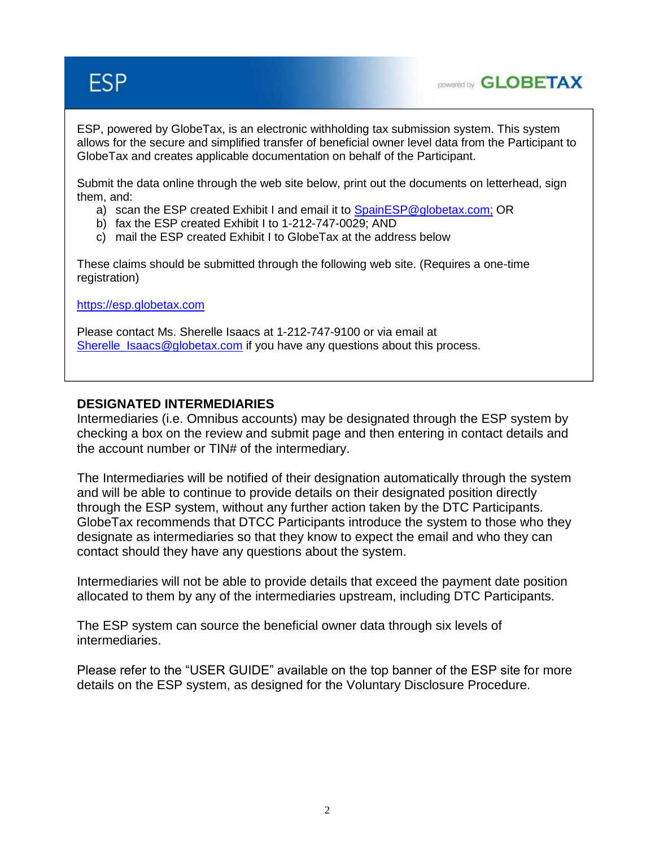# **ESP**



ESP, powered by GlobeTax, is an electronic withholding tax submission system. This system allows for the secure and simplified transfer of beneficial owner level data from the Participant to GlobeTax and creates applicable documentation on behalf of the Participant.

Submit the data online through the web site below, print out the documents on letterhead, sign them, and:

- a) scan the ESP created Exhibit I and email it to [SpainESP@globetax.com;](mailto:spainESP@globetax.com) OR
- b) fax the ESP created Exhibit I to 1-212-747-0029; AND
- c) mail the ESP created Exhibit I to GlobeTax at the address below

These claims should be submitted through the following web site. (Requires a one-time registration)

[https://esp.globetax.com](https://esp.globetax.com/)

Please contact Ms. Sherelle Isaacs at 1-212-747-9100 or via email at [Sherelle\\_Isaacs@globetax.com](mailto:Sherelle_Isaacs@globetax.com) if you have any questions about this process.

#### **DESIGNATED INTERMEDIARIES**

Intermediaries (i.e. Omnibus accounts) may be designated through the ESP system by checking a box on the review and submit page and then entering in contact details and the account number or TIN# of the intermediary.

The Intermediaries will be notified of their designation automatically through the system and will be able to continue to provide details on their designated position directly through the ESP system, without any further action taken by the DTC Participants. GlobeTax recommends that DTCC Participants introduce the system to those who they designate as intermediaries so that they know to expect the email and who they can contact should they have any questions about the system.

Intermediaries will not be able to provide details that exceed the payment date position allocated to them by any of the intermediaries upstream, including DTC Participants.

The ESP system can source the beneficial owner data through six levels of intermediaries.

Please refer to the "USER GUIDE" available on the top banner of the ESP site for more details on the ESP system, as designed for the Voluntary Disclosure Procedure.